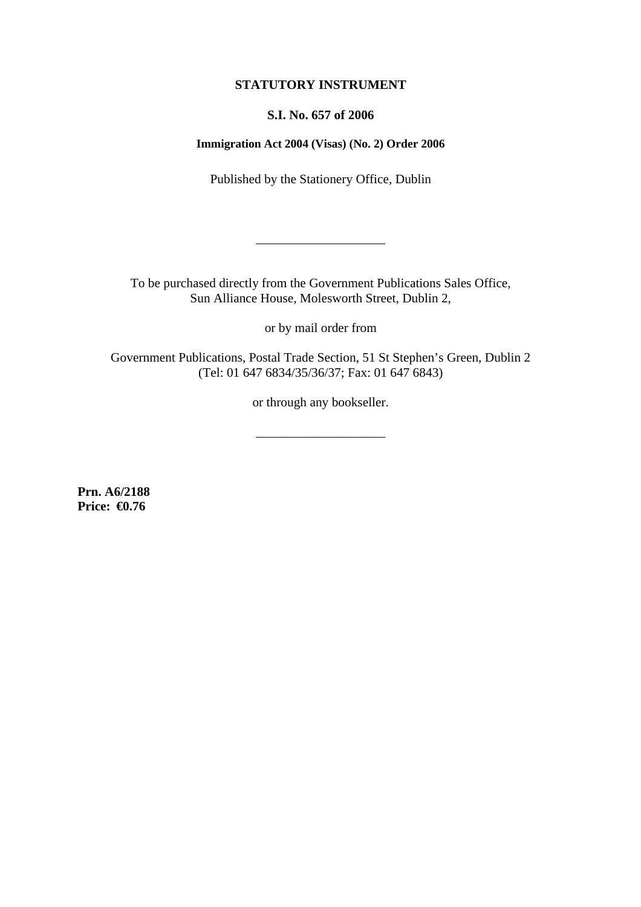## **STATUTORY INSTRUMENT**

## **S.I. No. 657 of 2006**

## **Immigration Act 2004 (Visas) (No. 2) Order 2006**

Published by the Stationery Office, Dublin

To be purchased directly from the Government Publications Sales Office, Sun Alliance House, Molesworth Street, Dublin 2,

\_\_\_\_\_\_\_\_\_\_\_\_\_\_\_\_\_\_\_\_

or by mail order from

Government Publications, Postal Trade Section, 51 St Stephen's Green, Dublin 2 (Tel: 01 647 6834/35/36/37; Fax: 01 647 6843)

or through any bookseller.

\_\_\_\_\_\_\_\_\_\_\_\_\_\_\_\_\_\_\_\_

**Prn. A6/2188 Price: €0.76**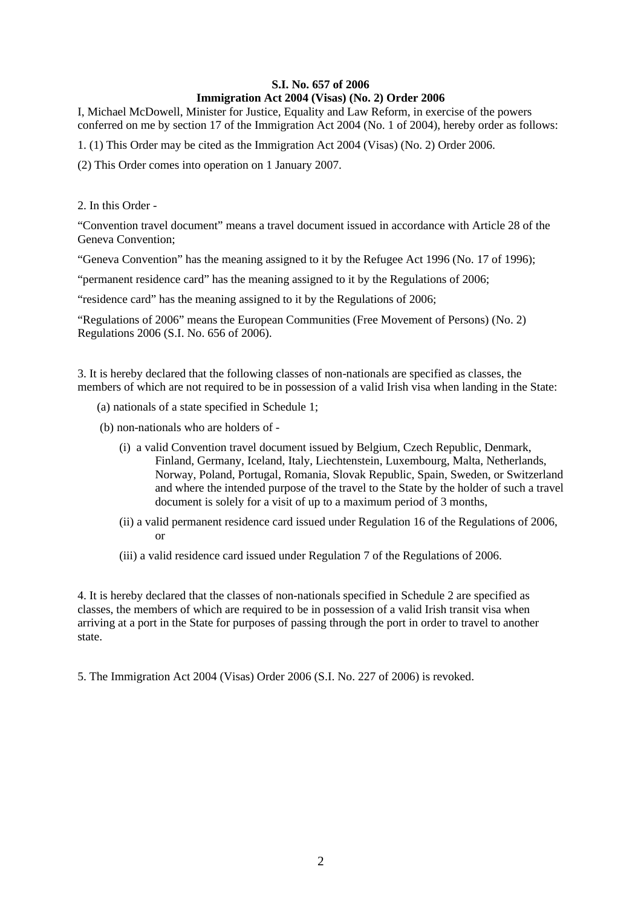# **S.I. No. 657 of 2006 Immigration Act 2004 (Visas) (No. 2) Order 2006**

I, Michael McDowell, Minister for Justice, Equality and Law Reform, in exercise of the powers conferred on me by section 17 of the Immigration Act 2004 (No. 1 of 2004), hereby order as follows:

1. (1) This Order may be cited as the Immigration Act 2004 (Visas) (No. 2) Order 2006.

(2) This Order comes into operation on 1 January 2007.

2. In this Order -

"Convention travel document" means a travel document issued in accordance with Article 28 of the Geneva Convention;

"Geneva Convention" has the meaning assigned to it by the Refugee Act 1996 (No. 17 of 1996);

"permanent residence card" has the meaning assigned to it by the Regulations of 2006;

"residence card" has the meaning assigned to it by the Regulations of 2006;

"Regulations of 2006" means the European Communities (Free Movement of Persons) (No. 2) Regulations 2006 (S.I. No. 656 of 2006).

3. It is hereby declared that the following classes of non-nationals are specified as classes, the members of which are not required to be in possession of a valid Irish visa when landing in the State:

- (a) nationals of a state specified in Schedule 1;
- (b) non-nationals who are holders of
	- (i) a valid Convention travel document issued by Belgium, Czech Republic, Denmark, Finland, Germany, Iceland, Italy, Liechtenstein, Luxembourg, Malta, Netherlands, Norway, Poland, Portugal, Romania, Slovak Republic, Spain, Sweden, or Switzerland and where the intended purpose of the travel to the State by the holder of such a travel document is solely for a visit of up to a maximum period of 3 months,
	- (ii) a valid permanent residence card issued under Regulation 16 of the Regulations of 2006, or
	- (iii) a valid residence card issued under Regulation 7 of the Regulations of 2006.

4. It is hereby declared that the classes of non-nationals specified in Schedule 2 are specified as classes, the members of which are required to be in possession of a valid Irish transit visa when arriving at a port in the State for purposes of passing through the port in order to travel to another state.

5. The Immigration Act 2004 (Visas) Order 2006 (S.I. No. 227 of 2006) is revoked.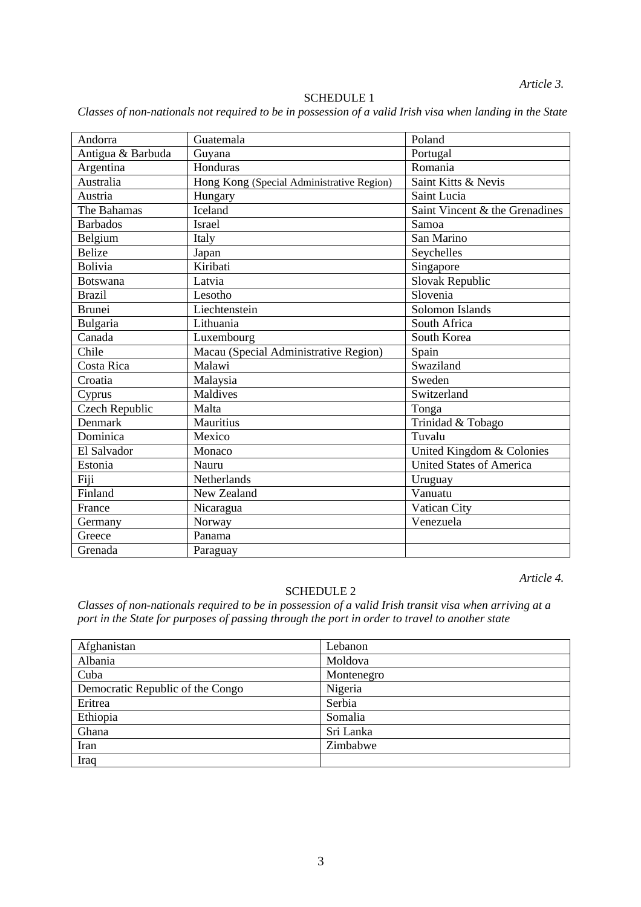#### SCHEDULE 1

*Classes of non-nationals not required to be in possession of a valid Irish visa when landing in the State*

| Andorra           | Guatemala                                 | Poland                          |
|-------------------|-------------------------------------------|---------------------------------|
| Antigua & Barbuda | Guyana                                    | Portugal                        |
| Argentina         | Honduras                                  | Romania                         |
| Australia         | Hong Kong (Special Administrative Region) | Saint Kitts & Nevis             |
| Austria           | Hungary                                   | Saint Lucia                     |
| The Bahamas       | Iceland                                   | Saint Vincent & the Grenadines  |
| <b>Barbados</b>   | <b>Israel</b>                             | Samoa                           |
| Belgium           | Italy                                     | San Marino                      |
| <b>Belize</b>     | Japan                                     | Seychelles                      |
| <b>Bolivia</b>    | Kiribati                                  | Singapore                       |
| <b>Botswana</b>   | Latvia                                    | Slovak Republic                 |
| <b>Brazil</b>     | Lesotho                                   | Slovenia                        |
| <b>Brunei</b>     | Liechtenstein                             | Solomon Islands                 |
| Bulgaria          | Lithuania                                 | South Africa                    |
| Canada            | Luxembourg                                | South Korea                     |
| Chile             | Macau (Special Administrative Region)     | Spain                           |
| Costa Rica        | Malawi                                    | Swaziland                       |
| Croatia           | Malaysia                                  | Sweden                          |
| Cyprus            | Maldives                                  | Switzerland                     |
| Czech Republic    | Malta                                     | Tonga                           |
| Denmark           | Mauritius                                 | Trinidad & Tobago               |
| Dominica          | Mexico                                    | Tuvalu                          |
| El Salvador       | Monaco                                    | United Kingdom & Colonies       |
| Estonia           | Nauru                                     | <b>United States of America</b> |
| Fiji              | Netherlands                               | Uruguay                         |
| Finland           | New Zealand                               | Vanuatu                         |
| France            | Nicaragua                                 | Vatican City                    |
| Germany           | Norway                                    | Venezuela                       |
| Greece            | Panama                                    |                                 |
| Grenada           | Paraguay                                  |                                 |

*Article 4.*

#### SCHEDULE 2

*Classes of non-nationals required to be in possession of a valid Irish transit visa when arriving at a port in the State for purposes of passing through the port in order to travel to another state*

| Afghanistan                      | Lebanon    |
|----------------------------------|------------|
| Albania                          | Moldova    |
| Cuba                             | Montenegro |
| Democratic Republic of the Congo | Nigeria    |
| Eritrea                          | Serbia     |
| Ethiopia                         | Somalia    |
| Ghana                            | Sri Lanka  |
| Iran                             | Zimbabwe   |
| Iraq                             |            |